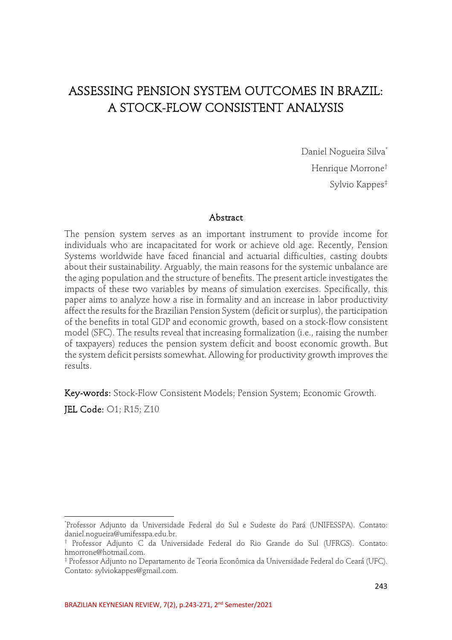# ASSESSING PENSION SYSTEM OUTCOMES IN BRAZIL: A STOCK-FLOW CONSISTENT ANALYSIS

Daniel Nogueira Silva\* Henrique Morrone† Sylvio Kappes‡

#### Abstract

The pension system serves as an important instrument to provide income for individuals who are incapacitated for work or achieve old age. Recently, Pension Systems worldwide have faced financial and actuarial difficulties, casting doubts about their sustainability. Arguably, the main reasons for the systemic unbalance are the aging population and the structure of benefits. The present article investigates the impacts of these two variables by means of simulation exercises. Specifically, this paper aims to analyze how a rise in formality and an increase in labor productivity affect the results for the Brazilian Pension System (deficit or surplus), the participation of the benefits in total GDP and economic growth, based on a stock-flow consistent model (SFC). The results reveal that increasing formalization (i.e., raising the number of taxpayers) reduces the pension system deficit and boost economic growth. But the system deficit persists somewhat. Allowing for productivity growth improves the results.

Key-words: Stock-Flow Consistent Models; Pension System; Economic Growth.

JEL Code: O1; R15; Z10

<sup>\*</sup> Professor Adjunto da Universidade Federal do Sul e Sudeste do Pará (UNIFESSPA). Contato: daniel.nogueira@umifesspa.edu.br.

<sup>†</sup> Professor Adjunto C da Universidade Federal do Rio Grande do Sul (UFRGS). Contato: hmorrone@hotmail.com.

<sup>‡</sup> Professor Adjunto no Departamento de Teoria Econômica da Universidade Federal do Ceará (UFC). Contato: sylviokappes@gmail.com.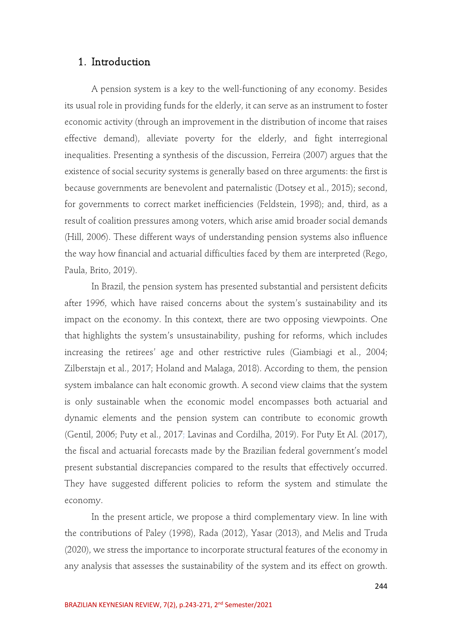## 1. Introduction

A pension system is a key to the well-functioning of any economy. Besides its usual role in providing funds for the elderly, it can serve as an instrument to foster economic activity (through an improvement in the distribution of income that raises effective demand), alleviate poverty for the elderly, and fight interregional inequalities. Presenting a synthesis of the discussion, Ferreira (2007) argues that the existence of social security systems is generally based on three arguments: the first is because governments are benevolent and paternalistic (Dotsey et al., 2015); second, for governments to correct market inefficiencies (Feldstein, 1998); and, third, as a result of coalition pressures among voters, which arise amid broader social demands (Hill, 2006). These different ways of understanding pension systems also influence the way how financial and actuarial difficulties faced by them are interpreted (Rego, Paula, Brito, 2019).

In Brazil, the pension system has presented substantial and persistent deficits after 1996, which have raised concerns about the system's sustainability and its impact on the economy. In this context, there are two opposing viewpoints. One that highlights the system's unsustainability, pushing for reforms, which includes increasing the retirees' age and other restrictive rules (Giambiagi et al., 2004; Zilberstajn et al., 2017; Holand and Malaga, 2018). According to them, the pension system imbalance can halt economic growth. A second view claims that the system is only sustainable when the economic model encompasses both actuarial and dynamic elements and the pension system can contribute to economic growth (Gentil, 2006; Puty et al., 2017; Lavinas and Cordilha, 2019). For Puty Et Al. (2017), the fiscal and actuarial forecasts made by the Brazilian federal government's model present substantial discrepancies compared to the results that effectively occurred. They have suggested different policies to reform the system and stimulate the economy.

In the present article, we propose a third complementary view. In line with the contributions of Paley (1998), Rada (2012), Yasar (2013), and Melis and Truda (2020), we stress the importance to incorporate structural features of the economy in any analysis that assesses the sustainability of the system and its effect on growth.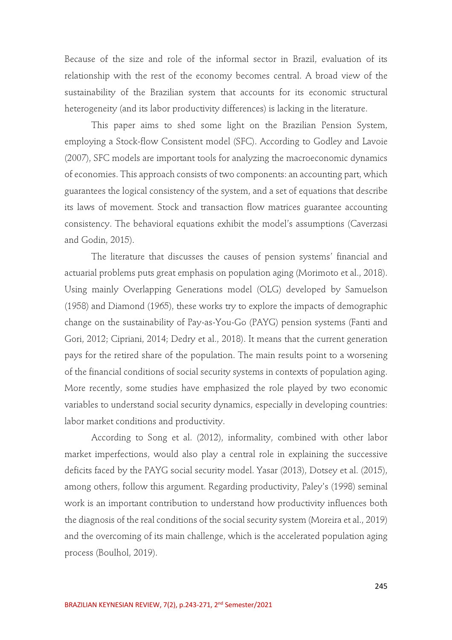Because of the size and role of the informal sector in Brazil, evaluation of its relationship with the rest of the economy becomes central. A broad view of the sustainability of the Brazilian system that accounts for its economic structural heterogeneity (and its labor productivity differences) is lacking in the literature.

This paper aims to shed some light on the Brazilian Pension System, employing a Stock-flow Consistent model (SFC). According to Godley and Lavoie (2007), SFC models are important tools for analyzing the macroeconomic dynamics of economies. This approach consists of two components: an accounting part, which guarantees the logical consistency of the system, and a set of equations that describe its laws of movement. Stock and transaction flow matrices guarantee accounting consistency. The behavioral equations exhibit the model's assumptions (Caverzasi and Godin, 2015).

The literature that discusses the causes of pension systems' financial and actuarial problems puts great emphasis on population aging (Morimoto et al., 2018). Using mainly Overlapping Generations model (OLG) developed by Samuelson (1958) and Diamond (1965), these works try to explore the impacts of demographic change on the sustainability of Pay-as-You-Go (PAYG) pension systems (Fanti and Gori, 2012; Cipriani, 2014; Dedry et al., 2018). It means that the current generation pays for the retired share of the population. The main results point to a worsening of the financial conditions of social security systems in contexts of population aging. More recently, some studies have emphasized the role played by two economic variables to understand social security dynamics, especially in developing countries: labor market conditions and productivity.

According to Song et al. (2012), informality, combined with other labor market imperfections, would also play a central role in explaining the successive deficits faced by the PAYG social security model. Yasar (2013), Dotsey et al. (2015), among others, follow this argument. Regarding productivity, Paley's (1998) seminal work is an important contribution to understand how productivity influences both the diagnosis of the real conditions of the social security system (Moreira et al., 2019) and the overcoming of its main challenge, which is the accelerated population aging process (Boulhol, 2019).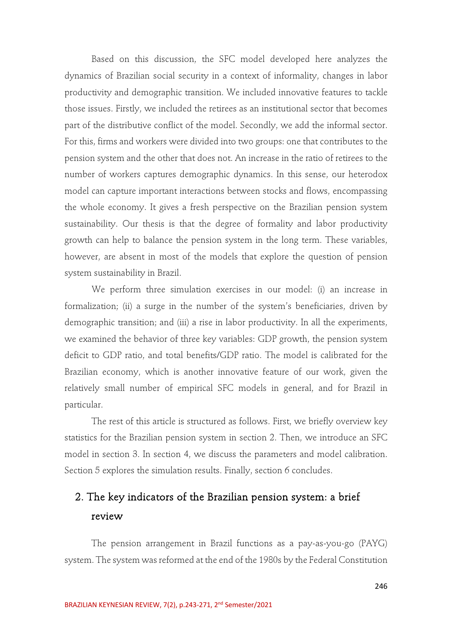Based on this discussion, the SFC model developed here analyzes the dynamics of Brazilian social security in a context of informality, changes in labor productivity and demographic transition. We included innovative features to tackle those issues. Firstly, we included the retirees as an institutional sector that becomes part of the distributive conflict of the model. Secondly, we add the informal sector. For this, firms and workers were divided into two groups: one that contributes to the pension system and the other that does not. An increase in the ratio of retirees to the number of workers captures demographic dynamics. In this sense, our heterodox model can capture important interactions between stocks and flows, encompassing the whole economy. It gives a fresh perspective on the Brazilian pension system sustainability. Our thesis is that the degree of formality and labor productivity growth can help to balance the pension system in the long term. These variables, however, are absent in most of the models that explore the question of pension system sustainability in Brazil.

We perform three simulation exercises in our model: (i) an increase in formalization; (ii) a surge in the number of the system's beneficiaries, driven by demographic transition; and (iii) a rise in labor productivity. In all the experiments, we examined the behavior of three key variables: GDP growth, the pension system deficit to GDP ratio, and total benefits/GDP ratio. The model is calibrated for the Brazilian economy, which is another innovative feature of our work, given the relatively small number of empirical SFC models in general, and for Brazil in particular.

The rest of this article is structured as follows. First, we briefly overview key statistics for the Brazilian pension system in section 2. Then, we introduce an SFC model in section 3. In section 4, we discuss the parameters and model calibration. Section 5 explores the simulation results. Finally, section 6 concludes.

# 2. The key indicators of the Brazilian pension system: a brief review

The pension arrangement in Brazil functions as a pay-as-you-go (PAYG) system. The system was reformed at the end of the 1980s by the Federal Constitution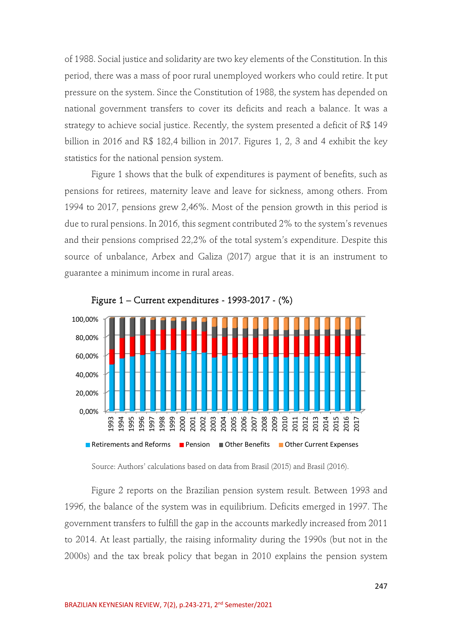of 1988. Social justice and solidarity are two key elements of the Constitution. In this period, there was a mass of poor rural unemployed workers who could retire. It put pressure on the system. Since the Constitution of 1988, the system has depended on national government transfers to cover its deficits and reach a balance. It was a strategy to achieve social justice. Recently, the system presented a deficit of R\$ 149 billion in 2016 and R\$ 182,4 billion in 2017. Figures 1, 2, 3 and 4 exhibit the key statistics for the national pension system.

Figure 1 shows that the bulk of expenditures is payment of benefits, such as pensions for retirees, maternity leave and leave for sickness, among others. From 1994 to 2017, pensions grew 2,46%. Most of the pension growth in this period is due to rural pensions. In 2016, this segment contributed 2% to the system's revenues and their pensions comprised 22,2% of the total system's expenditure. Despite this source of unbalance, Arbex and Galiza (2017) argue that it is an instrument to guarantee a minimum income in rural areas.



Figure 1 – Current expenditures - 1993-2017 - (%)

Source: Authors' calculations based on data from Brasil (2015) and Brasil (2016).

Figure 2 reports on the Brazilian pension system result. Between 1993 and 1996, the balance of the system was in equilibrium. Deficits emerged in 1997. The government transfers to fulfill the gap in the accounts markedly increased from 2011 to 2014. At least partially, the raising informality during the 1990s (but not in the 2000s) and the tax break policy that began in 2010 explains the pension system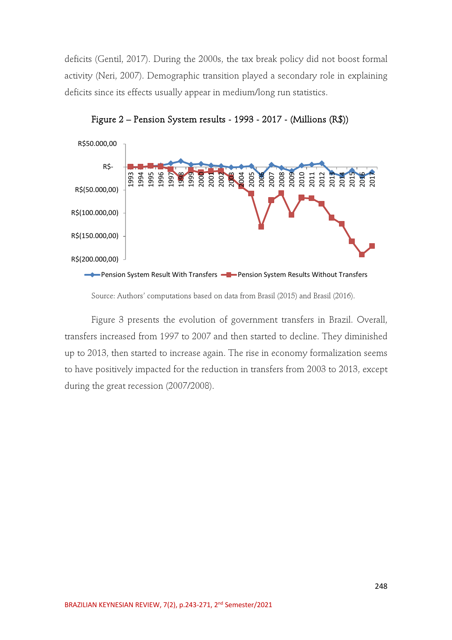deficits (Gentil, 2017). During the 2000s, the tax break policy did not boost formal activity (Neri, 2007). Demographic transition played a secondary role in explaining deficits since its effects usually appear in medium/long run statistics.



Figure 2 – Pension System results - 1993 - 2017 - (Millions (R\$))

Source: Authors' computations based on data from Brasil (2015) and Brasil (2016).

Figure 3 presents the evolution of government transfers in Brazil. Overall, transfers increased from 1997 to 2007 and then started to decline. They diminished up to 2013, then started to increase again. The rise in economy formalization seems to have positively impacted for the reduction in transfers from 2003 to 2013, except during the great recession (2007/2008).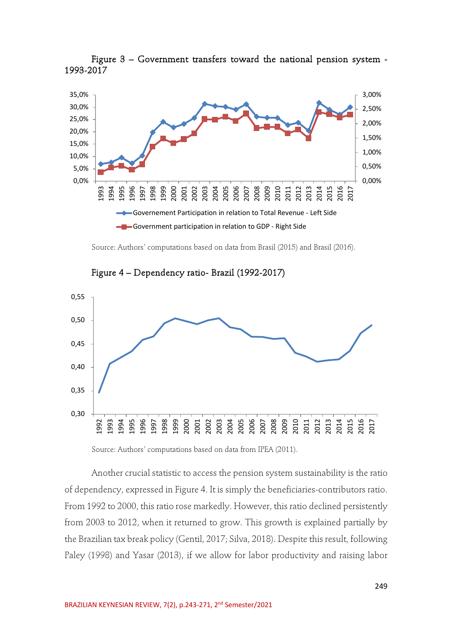

Figure 3 – Government transfers toward the national pension system - 1993-2017

Source: Authors' computations based on data from Brasil (2015) and Brasil (2016).



Figure 4 – Dependency ratio- Brazil (1992-2017)

Source: Authors' computations based on data from IPEA (2011).

Another crucial statistic to access the pension system sustainability is the ratio of dependency, expressed in Figure 4. It is simply the beneficiaries-contributors ratio. From 1992 to 2000, this ratio rose markedly. However, this ratio declined persistently from 2003 to 2012, when it returned to grow. This growth is explained partially by the Brazilian tax break policy (Gentil, 2017; Silva, 2018). Despite this result, following Paley (1998) and Yasar (2013), if we allow for labor productivity and raising labor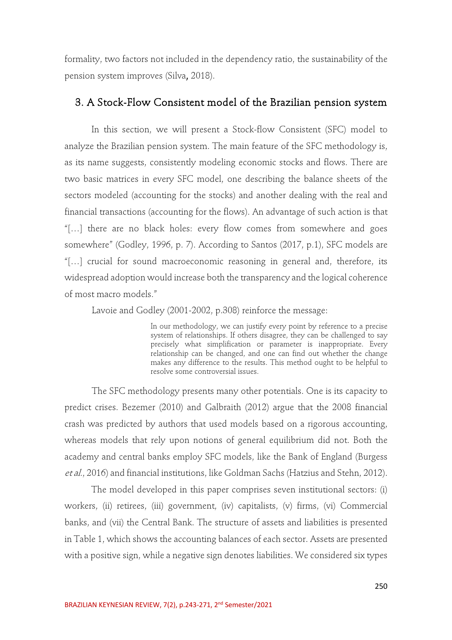formality, two factors not included in the dependency ratio, the sustainability of the pension system improves (Silva, 2018).

# 3. A Stock-Flow Consistent model of the Brazilian pension system

In this section, we will present a Stock-flow Consistent (SFC) model to analyze the Brazilian pension system. The main feature of the SFC methodology is, as its name suggests, consistently modeling economic stocks and flows. There are two basic matrices in every SFC model, one describing the balance sheets of the sectors modeled (accounting for the stocks) and another dealing with the real and financial transactions (accounting for the flows). An advantage of such action is that "[…] there are no black holes: every flow comes from somewhere and goes somewhere" (Godley, 1996, p. 7). According to Santos (2017, p.1), SFC models are "[…] crucial for sound macroeconomic reasoning in general and, therefore, its widespread adoption would increase both the transparency and the logical coherence of most macro models."

Lavoie and Godley (2001-2002, p.308) reinforce the message:

In our methodology, we can justify every point by reference to a precise system of relationships. If others disagree, they can be challenged to say precisely what simplification or parameter is inappropriate. Every relationship can be changed, and one can find out whether the change makes any difference to the results. This method ought to be helpful to resolve some controversial issues.

The SFC methodology presents many other potentials. One is its capacity to predict crises. Bezemer (2010) and Galbraith (2012) argue that the 2008 financial crash was predicted by authors that used models based on a rigorous accounting, whereas models that rely upon notions of general equilibrium did not. Both the academy and central banks employ SFC models, like the Bank of England (Burgess et al., 2016) and financial institutions, like Goldman Sachs (Hatzius and Stehn, 2012).

The model developed in this paper comprises seven institutional sectors: (i) workers, (ii) retirees, (iii) government, (iv) capitalists, (v) firms, (vi) Commercial banks, and (vii) the Central Bank. The structure of assets and liabilities is presented in Table 1, which shows the accounting balances of each sector. Assets are presented with a positive sign, while a negative sign denotes liabilities. We considered six types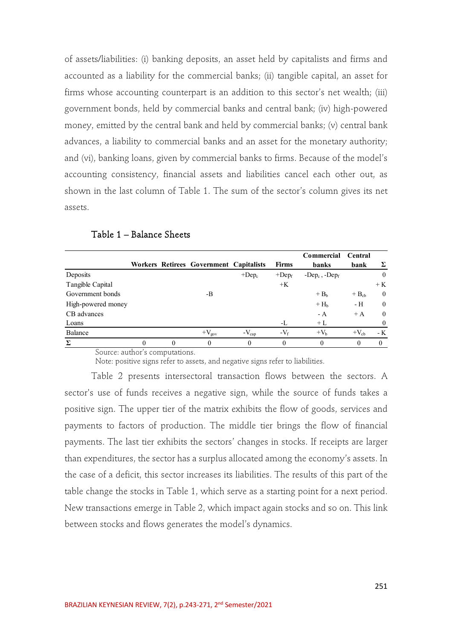of assets/liabilities: (i) banking deposits, an asset held by capitalists and firms and accounted as a liability for the commercial banks; (ii) tangible capital, an asset for firms whose accounting counterpart is an addition to this sector's net wealth; (iii) government bonds, held by commercial banks and central bank; (iv) high-powered money, emitted by the central bank and held by commercial banks; (v) central bank advances, a liability to commercial banks and an asset for the monetary authority; and (vi), banking loans, given by commercial banks to firms. Because of the model's accounting consistency, financial assets and liabilities cancel each other out, as shown in the last column of Table 1. The sum of the sector's column gives its net assets.

|                    |          |          | Workers Retirees Government Capitalists |            | <b>Firms</b> | Commercial<br>banks | Central<br>bank | Σ              |
|--------------------|----------|----------|-----------------------------------------|------------|--------------|---------------------|-----------------|----------------|
| Deposits           |          |          |                                         | $+Dep_c$   | $+$ Dep $_f$ | $-Dep_c, -Dep_f$    |                 | $\mathbf{0}$   |
| Tangible Capital   |          |          |                                         |            | $+K$         |                     |                 | $+K$           |
| Government bonds   |          |          | -B                                      |            |              | $+ Bb$              | $+ B_{ch}$      | $\overline{0}$ |
| High-powered money |          |          |                                         |            |              | $+Hb$               | - H             | $\mathbf{0}$   |
| CB advances        |          |          |                                         |            |              | $- A$               | $+A$            | $\theta$       |
| Loans              |          |          |                                         |            | -L           | $+L$                |                 | $\theta$       |
| Balance            |          |          | $+V_{\text{gov}}$                       | $-V_{cap}$ | $-V_f$       | $+Vh$               | $+V_{ch}$       | - K            |
| Σ                  | $\theta$ | $\Omega$ | $\theta$                                | $\theta$   | $\theta$     | $\theta$            | $\theta$        | $\Omega$       |

Table 1 – Balance Sheets

Source: author's computations.

Note: positive signs refer to assets, and negative signs refer to liabilities.

Table 2 presents intersectoral transaction flows between the sectors. A sector's use of funds receives a negative sign, while the source of funds takes a positive sign. The upper tier of the matrix exhibits the flow of goods, services and payments to factors of production. The middle tier brings the flow of financial payments. The last tier exhibits the sectors' changes in stocks. If receipts are larger than expenditures, the sector has a surplus allocated among the economy's assets. In the case of a deficit, this sector increases its liabilities. The results of this part of the table change the stocks in Table 1, which serve as a starting point for a next period. New transactions emerge in Table 2, which impact again stocks and so on. This link between stocks and flows generates the model's dynamics.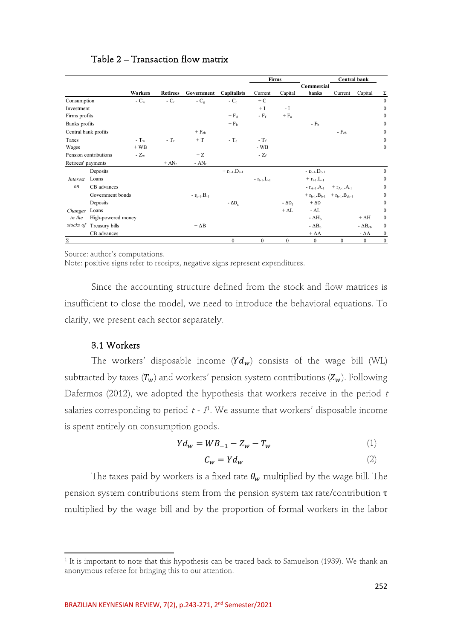|                      |                       |                |                 |                    |                         |                    | Firms          |                                                  | Central bank    |                   |                  |
|----------------------|-----------------------|----------------|-----------------|--------------------|-------------------------|--------------------|----------------|--------------------------------------------------|-----------------|-------------------|------------------|
|                      |                       |                |                 |                    |                         |                    |                | Commercial                                       |                 |                   |                  |
|                      |                       | <b>Workers</b> | <b>Retirees</b> | Government         | <b>Capitalists</b>      | Current            | Capital        | banks                                            | Current         | Capital           | Σ                |
| Consumption          |                       | - $C_w$        | $-C_r$          | - $C_g$            | $-C_c$                  | $+ C$              |                |                                                  |                 |                   | $\boldsymbol{0}$ |
| Investment           |                       |                |                 |                    |                         | $+1$               | $-1$           |                                                  |                 |                   | $\mathbf{0}$     |
| Firms profits        |                       |                |                 |                    | $+ F_d$                 | $-F_f$             | $+ F_n$        |                                                  |                 |                   | $\bf{0}$         |
| Banks profits        |                       |                |                 |                    | $+ Fb$                  |                    |                | $-Fb$                                            |                 |                   | $\bf{0}$         |
| Central bank profits |                       |                |                 | $+ F_{cb}$         |                         |                    |                |                                                  | $-F_{cb}$       |                   | $\overline{0}$   |
| Taxes                |                       | $-T_w$         | $-T_r$          | $+T$               | $-T_c$                  | $-T_f$             |                |                                                  |                 |                   | $\overline{0}$   |
| Wages                |                       | $+$ WB         |                 |                    |                         | $-WB$              |                |                                                  |                 |                   | $\overline{0}$   |
|                      | Pension contributions | - $Z_{\rm w}$  |                 | $+Z$               |                         | - $Z_f$            |                |                                                  |                 |                   |                  |
| Retirees' payments   |                       |                | $+ AN_r$        | - $AN_r$           |                         |                    |                |                                                  |                 |                   |                  |
|                      | Deposits              |                |                 |                    | $+ r_{d-1}$ . $D_{c-1}$ |                    |                | $- r_{d-1}.D_{c-1}$                              |                 |                   | $\boldsymbol{0}$ |
| Interest             | Loans                 |                |                 |                    |                         | $- r_{l-1} L_{-1}$ |                | $+$ $r_{l-1}$ , L <sub>-1</sub>                  |                 |                   | $\overline{0}$   |
| on                   | CB advances           |                |                 |                    |                         |                    |                | $- r_{A-1}.A_1$                                  | $+ r_{A-1}.A_1$ |                   | 0                |
|                      | Government bonds      |                |                 | $- r_{b-1}.B_{-1}$ |                         |                    |                | + $r_{b-1}$ . $B_{b-1}$ + $r_{b-1}$ . $B_{cb-1}$ |                 |                   | $\theta$         |
|                      | Deposits              |                |                 |                    | $-\Delta D_c$           |                    | - $\Delta D_f$ | $+\Delta D$                                      |                 |                   | $\boldsymbol{0}$ |
| Changes              | Loans                 |                |                 |                    |                         |                    | $+\Delta L$    | - $\Delta L$                                     |                 |                   | $\boldsymbol{0}$ |
| in the               | High-powered money    |                |                 |                    |                         |                    |                | - $\Delta H_b$                                   |                 | $+ \Delta H$      | $\bf{0}$         |
| stocks of            | Treasury bills        |                |                 | $+\Delta B$        |                         |                    |                | - $\Delta B_b$                                   |                 | - $\Delta B_{ch}$ | $\overline{0}$   |
|                      | CB advances           |                |                 |                    |                         |                    |                | $+ \Delta A$                                     |                 | - $\Delta A$      | $\mathbf{0}$     |
| Σ                    |                       |                |                 |                    | $\mathbf{0}$            | $\mathbf{0}$       | $\mathbf{0}$   | $\mathbf{0}$                                     | $\mathbf{0}$    | $\mathbf{0}$      | $\overline{0}$   |

## Table 2 – Transaction flow matrix

Source: author's computations.

Note: positive signs refer to receipts, negative signs represent expenditures.

Since the accounting structure defined from the stock and flow matrices is insufficient to close the model, we need to introduce the behavioral equations. To clarify, we present each sector separately.

## 3.1 Workers

The workers' disposable income  $(Yd_w)$  consists of the wage bill (WL) subtracted by taxes  $(T_w)$  and workers' pension system contributions  $(Z_w)$ . Following Dafermos (2012), we adopted the hypothesis that workers receive in the period  $t$ salaries corresponding to period  $t - 1$ <sup>1</sup>. We assume that workers' disposable income is spent entirely on consumption goods.

$$
Yd_w = WB_{-1} - Z_w - T_w \tag{1}
$$

$$
C_w = Yd_w \tag{2}
$$

The taxes paid by workers is a fixed rate  $\theta_w$  multiplied by the wage bill. The pension system contributions stem from the pension system tax rate/contribution  $\tau$ multiplied by the wage bill and by the proportion of formal workers in the labor

 $1$  It is important to note that this hypothesis can be traced back to Samuelson (1939). We thank an anonymous referee for bringing this to our attention.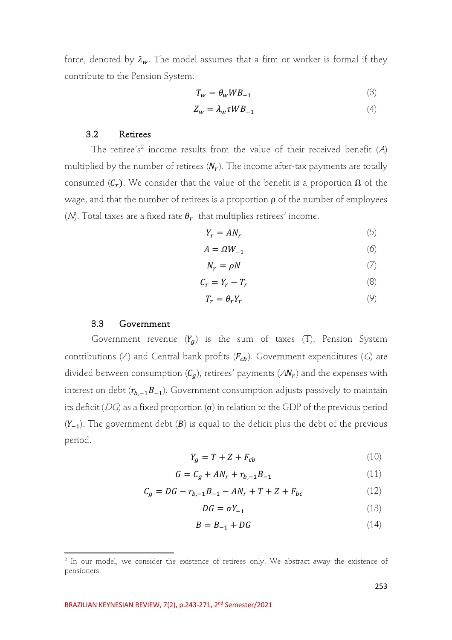force, denoted by  $\lambda_w$ . The model assumes that a firm or worker is formal if they contribute to the Pension System.

$$
T_w = \theta_w W B_{-1} \tag{3}
$$

$$
Z_w = \lambda_w \tau W B_{-1} \tag{4}
$$

#### 3.2 Retirees

The retiree's<sup>2</sup> income results from the value of their received benefit  $(A)$ multiplied by the number of retirees  $(N_r)$ . The income after-tax payments are totally consumed  $(C_r)$ . We consider that the value of the benefit is a proportion  $\Omega$  of the wage, and that the number of retirees is a proportion  $\rho$  of the number of employees (*N*). Total taxes are a fixed rate  $\theta_r$  that multiplies retirees' income.

$$
Y_r = AN_r \tag{5}
$$

$$
A = \Omega W_{-1} \tag{6}
$$

$$
N_r = \rho N \tag{7}
$$

$$
C_r = Y_r - T_r \tag{8}
$$

$$
T_r = \theta_r Y_r \tag{9}
$$

#### 3.3 Government

Government revenue  $(Y_q)$  is the sum of taxes (T), Pension System contributions (Z) and Central bank profits  $(F_{ch})$ . Government expenditures (G) are divided between consumption  $(C_g)$ , retirees' payments  $(AN_r)$  and the expenses with interest on debt  $(r_{b,-1}B_{-1})$ . Government consumption adjusts passively to maintain its deficit (DG) as a fixed proportion  $(\sigma)$  in relation to the GDP of the previous period  $(Y_{-1})$ . The government debt (B) is equal to the deficit plus the debt of the previous period.

$$
Y_g = T + Z + F_{cb} \tag{10}
$$

$$
G = C_g + AN_r + r_{b,-1}B_{-1}
$$
 (11)

$$
C_g = DG - r_{b,-1}B_{-1} - AN_r + T + Z + F_{bc}
$$
 (12)

$$
DG = \sigma Y_{-1} \tag{13}
$$

$$
B = B_{-1} + DG \tag{14}
$$

 $2$  In our model, we consider the existence of retirees only. We abstract away the existence of pensioners.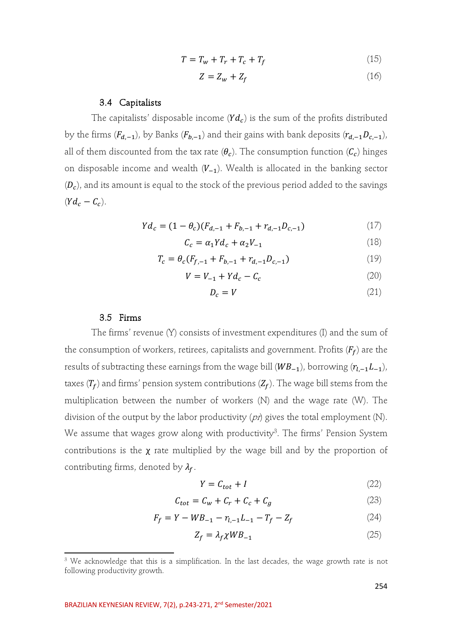$$
T = T_w + T_r + T_c + T_f \tag{15}
$$

$$
Z = Z_w + Z_f \tag{16}
$$

#### 3.4 Capitalists

The capitalists' disposable income  $(Yd_c)$  is the sum of the profits distributed by the firms ( $F_{d,-1}$ ), by Banks ( $F_{b,-1}$ ) and their gains with bank deposits ( $r_{d,-1}D_{c,-1}$ ), all of them discounted from the tax rate  $(\theta_c)$ . The consumption function  $(\mathcal{C}_c)$  hinges on disposable income and wealth  $(V_{-1})$ . Wealth is allocated in the banking sector  $(D<sub>c</sub>)$ , and its amount is equal to the stock of the previous period added to the savings  $(Yd_c - C_c)$ .

$$
Yd_c = (1 - \theta_c)(F_{d, -1} + F_{b, -1} + r_{d, -1}D_{c, -1})
$$
\n(17)

$$
C_c = \alpha_1 Y d_c + \alpha_2 V_{-1} \tag{18}
$$

$$
T_c = \theta_c (F_{f,-1} + F_{b,-1} + r_{d,-1} D_{c,-1})
$$
\n(19)

$$
V = V_{-1} + Yd_c - C_c \tag{20}
$$

$$
D_c = V \tag{21}
$$

#### 3.5 Firms

The firms' revenue (Y) consists of investment expenditures (I) and the sum of the consumption of workers, retirees, capitalists and government. Profits  $(F_f)$  are the results of subtracting these earnings from the wage bill  $(WB_{-1})$ , borrowing  $(r_{l,-1}L_{-1})$ , taxes  $(T_f)$  and firms' pension system contributions  $(Z_f)$ . The wage bill stems from the multiplication between the number of workers (N) and the wage rate (W). The division of the output by the labor productivity  $(pn)$  gives the total employment (N). We assume that wages grow along with productivity $^3$ . The firms' Pension System contributions is the  $\chi$  rate multiplied by the wage bill and by the proportion of contributing firms, denoted by  $\lambda_f$ .

$$
Y = C_{tot} + I \tag{22}
$$

$$
C_{tot} = C_W + C_r + C_c + C_g \tag{23}
$$

$$
F_f = Y - WB_{-1} - r_{l,-1}L_{-1} - T_f - Z_f \tag{24}
$$

$$
Z_f = \lambda_f \chi W B_{-1} \tag{25}
$$

<sup>&</sup>lt;sup>3</sup> We acknowledge that this is a simplification. In the last decades, the wage growth rate is not following productivity growth.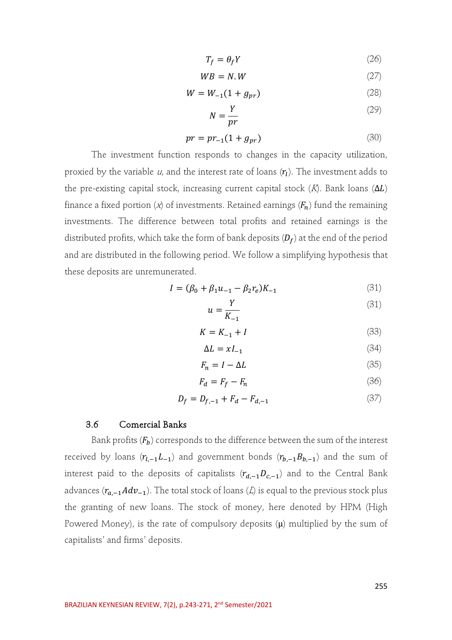$$
T_f = \theta_f Y \tag{26}
$$

$$
WB = N.W \tag{27}
$$

$$
W = W_{-1}(1 + g_{pr})
$$
 (28)

$$
N = \frac{Y}{pr} \tag{29}
$$

$$
pr = pr_{-1}(1 + g_{pr})
$$
 (30)

The investment function responds to changes in the capacity utilization, proxied by the variable  $u$ , and the interest rate of loans  $(\eta)$ . The investment adds to the pre-existing capital stock, increasing current capital stock  $(K)$ . Bank loans  $(\Delta L)$ finance a fixed portion (x) of investments. Retained earnings  $(F_n)$  fund the remaining investments. The difference between total profits and retained earnings is the distributed profits, which take the form of bank deposits  $(D_f)$  at the end of the period and are distributed in the following period. We follow a simplifying hypothesis that these deposits are unremunerated.

$$
I = (\beta_0 + \beta_1 u_{-1} - \beta_2 r_e) K_{-1}
$$
 (31)

$$
u = \frac{Y}{K_{-1}}\tag{31}
$$

$$
K = K_{-1} + I \tag{33}
$$

$$
\Delta L = xI_{-1} \tag{34}
$$

$$
F_n = I - \Delta L \tag{35}
$$

$$
F_d = F_f - F_n \tag{36}
$$

$$
D_f = D_{f,-1} + F_d - F_{d,-1}
$$
\n(37)

#### 3.6 Comercial Banks

Bank profits  $(F_b)$  corresponds to the difference between the sum of the interest received by loans  $(r_{l,-1}L_{-1})$  and government bonds  $(r_{b,-1}B_{b,-1})$  and the sum of interest paid to the deposits of capitalists  $(r_{d,-1}D_{c,-1})$  and to the Central Bank advances  $(r_{a,-1} Adv_{-1})$ . The total stock of loans (*L*) is equal to the previous stock plus the granting of new loans. The stock of money, here denoted by HPM (High Powered Money), is the rate of compulsory deposits  $(\mu)$  multiplied by the sum of capitalists' and firms' deposits.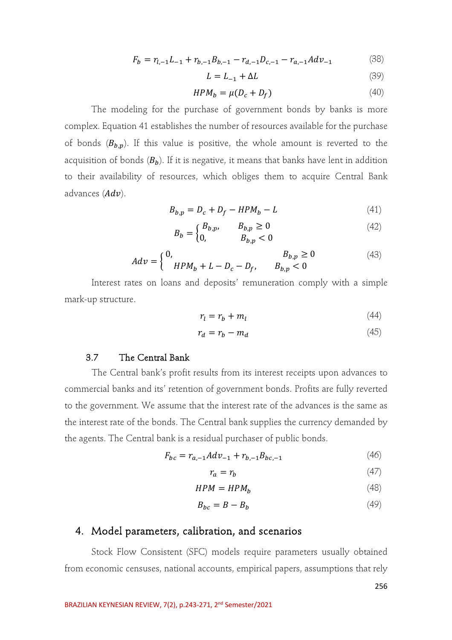$$
F_b = r_{l,-1}L_{-1} + r_{b,-1}B_{b,-1} - r_{d,-1}D_{c,-1} - r_{a,-1}Adv_{-1}
$$
 (38)

$$
L = L_{-1} + \Delta L \tag{39}
$$

$$
HPM_b = \mu (D_c + D_f) \tag{40}
$$

The modeling for the purchase of government bonds by banks is more complex. Equation 41 establishes the number of resources available for the purchase of bonds  $(B_{b,p})$ . If this value is positive, the whole amount is reverted to the acquisition of bonds  $(B_b)$ . If it is negative, it means that banks have lent in addition to their availability of resources, which obliges them to acquire Central Bank advances  $(Adv)$ .

$$
B_{b,p} = D_c + D_f - HPM_b - L \tag{41}
$$

$$
B_b = \begin{cases} B_{b,p}, & B_{b,p} \ge 0 \\ 0, & B_{b,p} < 0 \end{cases}
$$
 (42)

$$
Adv = \begin{cases} 0, & B_{b,p} \ge 0 \\ HPM_b + L - D_c - D_f, & B_{b,p} < 0 \end{cases}
$$
 (43)

Interest rates on loans and deposits' remuneration comply with a simple mark-up structure.

$$
r_l = r_b + m_l \tag{44}
$$

$$
r_d = r_b - m_d \tag{45}
$$

### 3.7 The Central Bank

The Central bank's profit results from its interest receipts upon advances to commercial banks and its' retention of government bonds. Profits are fully reverted to the government. We assume that the interest rate of the advances is the same as the interest rate of the bonds. The Central bank supplies the currency demanded by the agents. The Central bank is a residual purchaser of public bonds.

$$
F_{bc} = r_{a,-1} A dv_{-1} + r_{b,-1} B_{bc,-1}
$$
\n<sup>(46)</sup>

$$
r_a = r_b \tag{47}
$$

$$
HPM = HPM_b \tag{48}
$$

$$
B_{bc} = B - B_b \tag{49}
$$

# 4. Model parameters, calibration, and scenarios

Stock Flow Consistent (SFC) models require parameters usually obtained from economic censuses, national accounts, empirical papers, assumptions that rely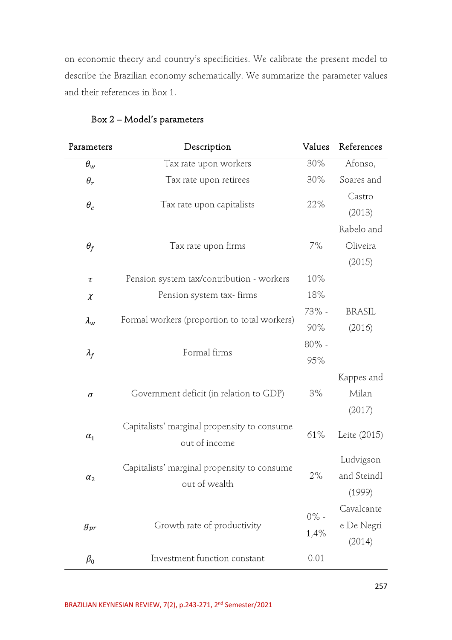on economic theory and country's specificities. We calibrate the present model to describe the Brazilian economy schematically. We summarize the parameter values and their references in Box 1.

| Parameters    | Description                                                  | Values          | References                         |
|---------------|--------------------------------------------------------------|-----------------|------------------------------------|
| $\theta_w$    | Tax rate upon workers                                        | 30%             | Afonso,                            |
| $\theta_r$    | Tax rate upon retirees                                       | 30%             | Soares and                         |
| $\theta_c$    | Tax rate upon capitalists                                    | 22%             | Castro<br>(2013)                   |
| $\theta_f$    | Tax rate upon firms                                          | 7%              | Rabelo and<br>Oliveira<br>(2015)   |
| $\tau$        | Pension system tax/contribution - workers                    | 10%             |                                    |
| $\chi$        | Pension system tax- firms                                    | 18%             |                                    |
| $\lambda_{w}$ | Formal workers (proportion to total workers)                 | 73% -<br>90%    | <b>BRASIL</b><br>(2016)            |
| $\lambda_f$   | Formal firms                                                 | $80\%$ -<br>95% |                                    |
| $\sigma$      | Government deficit (in relation to GDP)                      | 3%              | Kappes and<br>Milan<br>(2017)      |
| $\alpha_1$    | Capitalists' marginal propensity to consume<br>out of income | 61%             | Leite (2015)                       |
| $\alpha_2$    | Capitalists' marginal propensity to consume<br>out of wealth | 2%              | Ludvigson<br>and Steindl<br>(1999) |
| $g_{pr}$      | Growth rate of productivity                                  | $0\%$ -<br>1,4% | Cavalcante<br>e De Negri<br>(2014) |
| $\beta_0$     | Investment function constant                                 | 0.01            |                                    |

# Box 2 – Model's parameters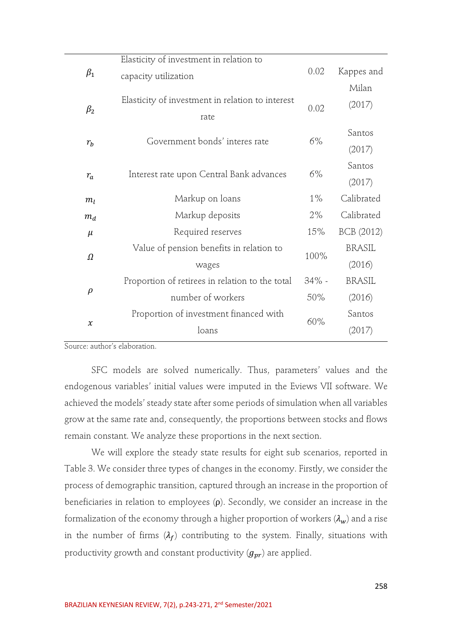|               | Elasticity of investment in relation to                  |          |                  |
|---------------|----------------------------------------------------------|----------|------------------|
| $\beta_1$     | capacity utilization                                     | 0.02     | Kappes and       |
| $\beta_2$     | Elasticity of investment in relation to interest<br>rate | 0.02     | Milan<br>(2017)  |
| $r_b$         | Government bonds' interes rate                           | 6%       | Santos<br>(2017) |
| $r_a$         | Interest rate upon Central Bank advances                 | $6\%$    | Santos<br>(2017) |
| $m_l$         | Markup on loans                                          | $1\%$    | Calibrated       |
| $m_d$         | Markup deposits                                          | 2%       | Calibrated       |
| $\mu$         | Required reserves                                        | 15%      | BCB (2012)       |
| $\Omega$      | Value of pension benefits in relation to                 | 100%     | <b>BRASIL</b>    |
|               | wages                                                    |          | (2016)           |
|               | Proportion of retirees in relation to the total          | $34\%$ - | <b>BRASIL</b>    |
| $\rho$        | number of workers                                        | 50%      | (2016)           |
|               | Proportion of investment financed with                   | 60%      | Santos           |
| $\mathcal{X}$ | loans                                                    |          | (2017)           |
|               |                                                          |          |                  |

Source: author's elaboration.

SFC models are solved numerically. Thus, parameters' values and the endogenous variables' initial values were imputed in the Eviews VII software. We achieved the models' steady state after some periods of simulation when all variables grow at the same rate and, consequently, the proportions between stocks and flows remain constant. We analyze these proportions in the next section.

We will explore the steady state results for eight sub scenarios, reported in Table 3. We consider three types of changes in the economy. Firstly, we consider the process of demographic transition, captured through an increase in the proportion of beneficiaries in relation to employees (ρ). Secondly, we consider an increase in the formalization of the economy through a higher proportion of workers  $(\lambda_w)$  and a rise in the number of firms  $(\lambda_f)$  contributing to the system. Finally, situations with productivity growth and constant productivity  $(g_{\nu r})$  are applied.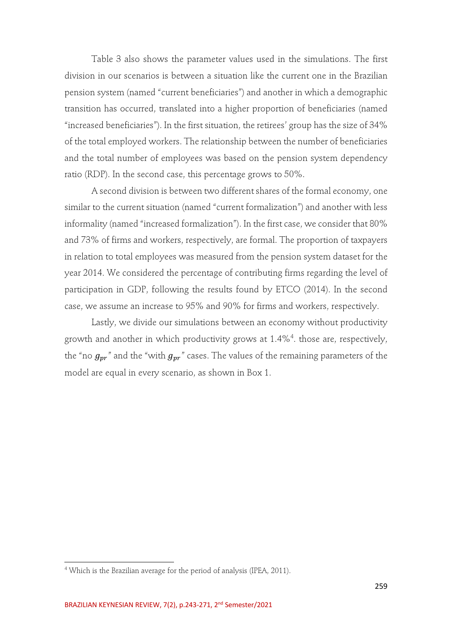Table 3 also shows the parameter values used in the simulations. The first division in our scenarios is between a situation like the current one in the Brazilian pension system (named "current beneficiaries") and another in which a demographic transition has occurred, translated into a higher proportion of beneficiaries (named "increased beneficiaries"). In the first situation, the retirees' group has the size of 34% of the total employed workers. The relationship between the number of beneficiaries and the total number of employees was based on the pension system dependency ratio (RDP). In the second case, this percentage grows to 50%.

A second division is between two different shares of the formal economy, one similar to the current situation (named "current formalization") and another with less informality (named "increased formalization"). In the first case, we consider that 80% and 73% of firms and workers, respectively, are formal. The proportion of taxpayers in relation to total employees was measured from the pension system dataset for the year 2014. We considered the percentage of contributing firms regarding the level of participation in GDP, following the results found by ETCO (2014). In the second case, we assume an increase to 95% and 90% for firms and workers, respectively.

Lastly, we divide our simulations between an economy without productivity growth and another in which productivity grows at 1.4%4 . those are, respectively, the "no  $g_{\nu r}$ " and the "with  $g_{\nu r}$ " cases. The values of the remaining parameters of the model are equal in every scenario, as shown in Box 1.

<sup>4</sup> Which is the Brazilian average for the period of analysis (IPEA, 2011).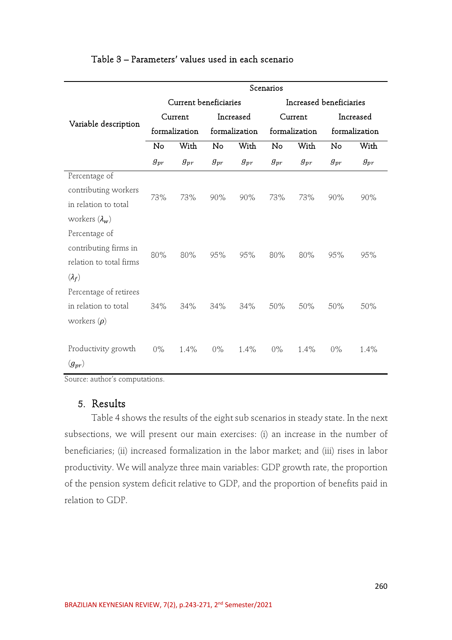|                         | Scenarios             |          |               |           |                         |                     |               |           |
|-------------------------|-----------------------|----------|---------------|-----------|-------------------------|---------------------|---------------|-----------|
|                         | Current beneficiaries |          |               |           | Increased beneficiaries |                     |               |           |
|                         | Current               |          |               | Increased |                         | Current             |               | Increased |
| Variable description    | formalization         |          | formalization |           | formalization           |                     | formalization |           |
|                         | No                    | With     | No            | With      | No                      | With                | No            | With      |
|                         | $g_{pr}$              | $g_{pr}$ | $g_{pr}$      | $g_{pr}$  | $g_{pr}$                | $\mathfrak{g}_{pr}$ | $g_{pr}$      | $g_{pr}$  |
| Percentage of           |                       |          |               |           |                         |                     |               |           |
| contributing workers    | 73%                   |          | 90%           | 90%       | 73%                     | 73%                 | 90%           | 90%       |
| in relation to total    |                       | 73%      |               |           |                         |                     |               |           |
| workers $(\lambda_w)$   |                       |          |               |           |                         |                     |               |           |
| Percentage of           |                       |          |               |           |                         |                     |               |           |
| contributing firms in   |                       | 80%      | 95%           | 95%       | 80%                     | 80%                 | 95%           |           |
| relation to total firms | 80%                   |          |               |           |                         |                     |               | 95%       |
| $(\lambda_f)$           |                       |          |               |           |                         |                     |               |           |
| Percentage of retirees  |                       |          |               |           |                         |                     |               |           |
| in relation to total    | 34%                   | 34%      | 34%           | 34%       | 50%                     | 50%                 | 50%           | 50%       |
| workers $(\rho)$        |                       |          |               |           |                         |                     |               |           |
|                         |                       |          |               |           |                         |                     |               |           |
| Productivity growth     | 0%                    | 1.4%     | $0\%$         | 1.4%      | $0\%$                   | 1.4%                | $0\%$         | 1.4%      |
| $(g_{pr})$              |                       |          |               |           |                         |                     |               |           |

## Table 3 – Parameters' values used in each scenario

Source: author's computations.

## 5. Results

Table 4 shows the results of the eight sub scenarios in steady state. In the next subsections, we will present our main exercises: (i) an increase in the number of beneficiaries; (ii) increased formalization in the labor market; and (iii) rises in labor productivity. We will analyze three main variables: GDP growth rate, the proportion of the pension system deficit relative to GDP, and the proportion of benefits paid in relation to GDP.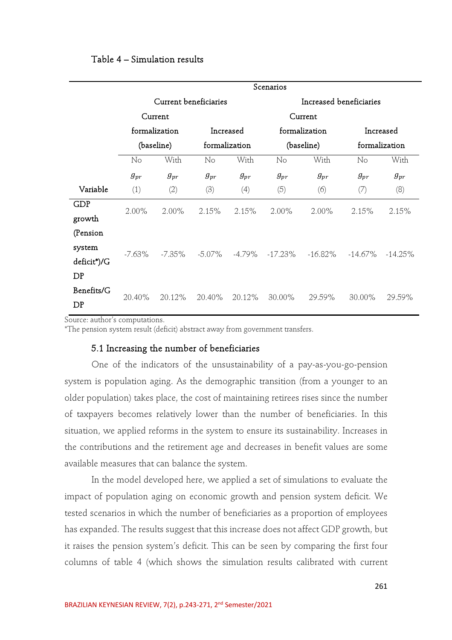#### Table 4 – Simulation results

|             | Scenarios     |                       |                        |          |                         |               |               |            |  |  |
|-------------|---------------|-----------------------|------------------------|----------|-------------------------|---------------|---------------|------------|--|--|
|             |               | Current beneficiaries |                        |          | Increased beneficiaries |               |               |            |  |  |
|             |               | Current               |                        | Current  |                         |               |               |            |  |  |
|             | formalization |                       | Increased              |          |                         | formalization | Increased     |            |  |  |
|             |               | (baseline)            | formalization          |          |                         | (baseline)    | formalization |            |  |  |
|             | No            | With                  | $\overline{\text{No}}$ | With     | No                      | With          | No            | With       |  |  |
|             | $g_{pr}$      | $g_{pr}$              | $g_{pr}$               | $g_{pr}$ | $g_{pr}$                | $g_{pr}$      | $g_{pr}$      | $g_{pr}$   |  |  |
| Variable    | (1)           | (2)                   | (3)                    | (4)      | (5)                     | (6)           | (7)           | (8)        |  |  |
| <b>GDP</b>  | $2.00\%$      | $2.00\%$              | 2.15%                  | 2.15%    | $2.00\%$                | $2.00\%$      | 2.15%         | 2.15%      |  |  |
| growth      |               |                       |                        |          |                         |               |               |            |  |  |
| (Pension    |               |                       |                        |          |                         |               |               |            |  |  |
| system      | $-7.63\%$     | $-7.35\%$             | $-5.07\%$              | -4.79%   | $-17.23\%$              | -16.82%       | $-14.67\%$    | $-14.25\%$ |  |  |
| deficit*)/G |               |                       |                        |          |                         |               |               |            |  |  |
| DP          |               |                       |                        |          |                         |               |               |            |  |  |
| Benefits/G  | 20.40%        | 20.12%                | 20.40%                 | 20.12%   | 30.00%                  | 29.59%        | 30.00%        | 29.59%     |  |  |
| DP          |               |                       |                        |          |                         |               |               |            |  |  |

Source: author's computations.

\*The pension system result (deficit) abstract away from government transfers.

#### 5.1 Increasing the number of beneficiaries

One of the indicators of the unsustainability of a pay-as-you-go-pension system is population aging. As the demographic transition (from a younger to an older population) takes place, the cost of maintaining retirees rises since the number of taxpayers becomes relatively lower than the number of beneficiaries. In this situation, we applied reforms in the system to ensure its sustainability. Increases in the contributions and the retirement age and decreases in benefit values are some available measures that can balance the system.

In the model developed here, we applied a set of simulations to evaluate the impact of population aging on economic growth and pension system deficit. We tested scenarios in which the number of beneficiaries as a proportion of employees has expanded. The results suggest that this increase does not affect GDP growth, but it raises the pension system's deficit. This can be seen by comparing the first four columns of table 4 (which shows the simulation results calibrated with current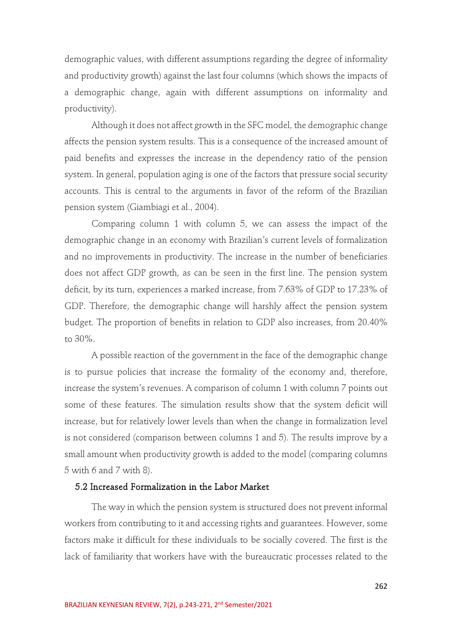demographic values, with different assumptions regarding the degree of informality and productivity growth) against the last four columns (which shows the impacts of a demographic change, again with different assumptions on informality and productivity).

Although it does not affect growth in the SFC model, the demographic change affects the pension system results. This is a consequence of the increased amount of paid benefits and expresses the increase in the dependency ratio of the pension system. In general, population aging is one of the factors that pressure social security accounts. This is central to the arguments in favor of the reform of the Brazilian pension system (Giambiagi et al., 2004).

Comparing column 1 with column 5, we can assess the impact of the demographic change in an economy with Brazilian's current levels of formalization and no improvements in productivity. The increase in the number of beneficiaries does not affect GDP growth, as can be seen in the first line. The pension system deficit, by its turn, experiences a marked increase, from 7.63% of GDP to 17.23% of GDP. Therefore, the demographic change will harshly affect the pension system budget. The proportion of benefits in relation to GDP also increases, from 20.40% to 30%.

A possible reaction of the government in the face of the demographic change is to pursue policies that increase the formality of the economy and, therefore, increase the system's revenues. A comparison of column 1 with column 7 points out some of these features. The simulation results show that the system deficit will increase, but for relatively lower levels than when the change in formalization level is not considered (comparison between columns 1 and 5). The results improve by a small amount when productivity growth is added to the model (comparing columns 5 with 6 and 7 with 8).

#### 5.2 Increased Formalization in the Labor Market

The way in which the pension system is structured does not prevent informal workers from contributing to it and accessing rights and guarantees. However, some factors make it difficult for these individuals to be socially covered. The first is the lack of familiarity that workers have with the bureaucratic processes related to the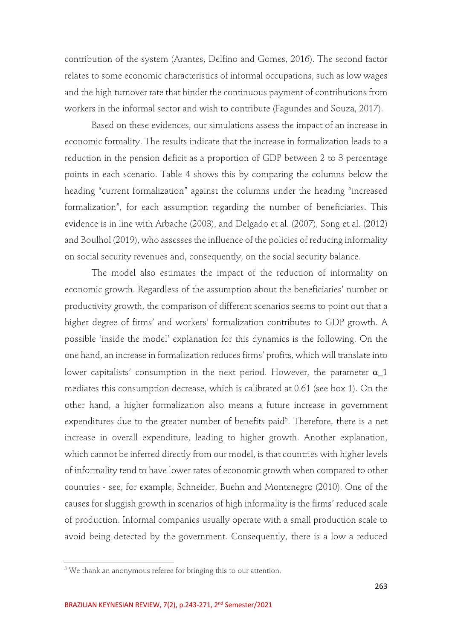contribution of the system (Arantes, Delfino and Gomes, 2016). The second factor relates to some economic characteristics of informal occupations, such as low wages and the high turnover rate that hinder the continuous payment of contributions from workers in the informal sector and wish to contribute (Fagundes and Souza, 2017).

Based on these evidences, our simulations assess the impact of an increase in economic formality. The results indicate that the increase in formalization leads to a reduction in the pension deficit as a proportion of GDP between 2 to 3 percentage points in each scenario. Table 4 shows this by comparing the columns below the heading "current formalization" against the columns under the heading "increased formalization", for each assumption regarding the number of beneficiaries. This evidence is in line with Arbache (2003), and Delgado et al. (2007), Song et al. (2012) and Boulhol (2019), who assesses the influence of the policies of reducing informality on social security revenues and, consequently, on the social security balance.

The model also estimates the impact of the reduction of informality on economic growth. Regardless of the assumption about the beneficiaries' number or productivity growth, the comparison of different scenarios seems to point out that a higher degree of firms' and workers' formalization contributes to GDP growth. A possible 'inside the model' explanation for this dynamics is the following. On the one hand, an increase in formalization reduces firms' profits, which will translate into lower capitalists' consumption in the next period. However, the parameter  $\alpha$  1 mediates this consumption decrease, which is calibrated at 0.61 (see box 1). On the other hand, a higher formalization also means a future increase in government expenditures due to the greater number of benefits paid<sup>5</sup>. Therefore, there is a net increase in overall expenditure, leading to higher growth. Another explanation, which cannot be inferred directly from our model, is that countries with higher levels of informality tend to have lower rates of economic growth when compared to other countries - see, for example, Schneider, Buehn and Montenegro (2010). One of the causes for sluggish growth in scenarios of high informality is the firms' reduced scale of production. Informal companies usually operate with a small production scale to avoid being detected by the government. Consequently, there is a low a reduced

<sup>5</sup> We thank an anonymous referee for bringing this to our attention.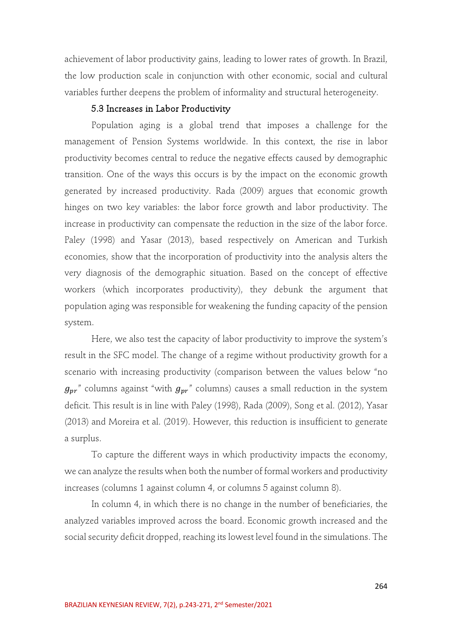achievement of labor productivity gains, leading to lower rates of growth. In Brazil, the low production scale in conjunction with other economic, social and cultural variables further deepens the problem of informality and structural heterogeneity.

## 5.3 Increases in Labor Productivity

Population aging is a global trend that imposes a challenge for the management of Pension Systems worldwide. In this context, the rise in labor productivity becomes central to reduce the negative effects caused by demographic transition. One of the ways this occurs is by the impact on the economic growth generated by increased productivity. Rada (2009) argues that economic growth hinges on two key variables: the labor force growth and labor productivity. The increase in productivity can compensate the reduction in the size of the labor force. Paley (1998) and Yasar (2013), based respectively on American and Turkish economies, show that the incorporation of productivity into the analysis alters the very diagnosis of the demographic situation. Based on the concept of effective workers (which incorporates productivity), they debunk the argument that population aging was responsible for weakening the funding capacity of the pension system.

Here, we also test the capacity of labor productivity to improve the system's result in the SFC model. The change of a regime without productivity growth for a scenario with increasing productivity (comparison between the values below "no  $g_{pr}$ " columns against "with  $g_{pr}$ " columns) causes a small reduction in the system deficit. This result is in line with Paley (1998), Rada (2009), Song et al. (2012), Yasar (2013) and Moreira et al. (2019). However, this reduction is insufficient to generate a surplus.

To capture the different ways in which productivity impacts the economy, we can analyze the results when both the number of formal workers and productivity increases (columns 1 against column 4, or columns 5 against column 8).

In column 4, in which there is no change in the number of beneficiaries, the analyzed variables improved across the board. Economic growth increased and the social security deficit dropped, reaching its lowest level found in the simulations. The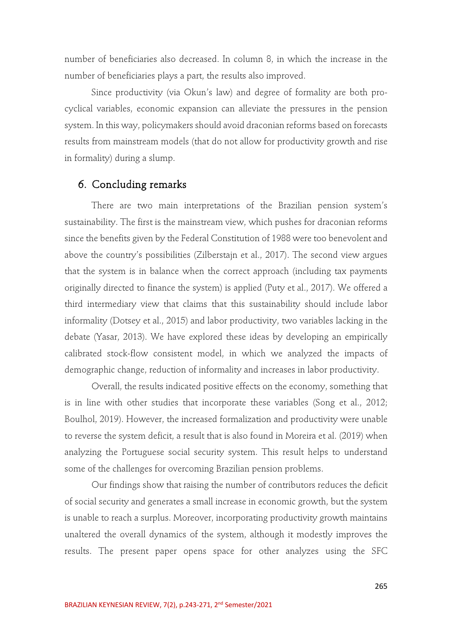number of beneficiaries also decreased. In column 8, in which the increase in the number of beneficiaries plays a part, the results also improved.

Since productivity (via Okun's law) and degree of formality are both procyclical variables, economic expansion can alleviate the pressures in the pension system. In this way, policymakers should avoid draconian reforms based on forecasts results from mainstream models (that do not allow for productivity growth and rise in formality) during a slump.

## 6. Concluding remarks

There are two main interpretations of the Brazilian pension system's sustainability. The first is the mainstream view, which pushes for draconian reforms since the benefits given by the Federal Constitution of 1988 were too benevolent and above the country's possibilities (Zilberstajn et al., 2017). The second view argues that the system is in balance when the correct approach (including tax payments originally directed to finance the system) is applied (Puty et al., 2017). We offered a third intermediary view that claims that this sustainability should include labor informality (Dotsey et al., 2015) and labor productivity, two variables lacking in the debate (Yasar, 2013). We have explored these ideas by developing an empirically calibrated stock-flow consistent model, in which we analyzed the impacts of demographic change, reduction of informality and increases in labor productivity.

Overall, the results indicated positive effects on the economy, something that is in line with other studies that incorporate these variables (Song et al., 2012; Boulhol, 2019). However, the increased formalization and productivity were unable to reverse the system deficit, a result that is also found in Moreira et al. (2019) when analyzing the Portuguese social security system. This result helps to understand some of the challenges for overcoming Brazilian pension problems.

Our findings show that raising the number of contributors reduces the deficit of social security and generates a small increase in economic growth, but the system is unable to reach a surplus. Moreover, incorporating productivity growth maintains unaltered the overall dynamics of the system, although it modestly improves the results. The present paper opens space for other analyzes using the SFC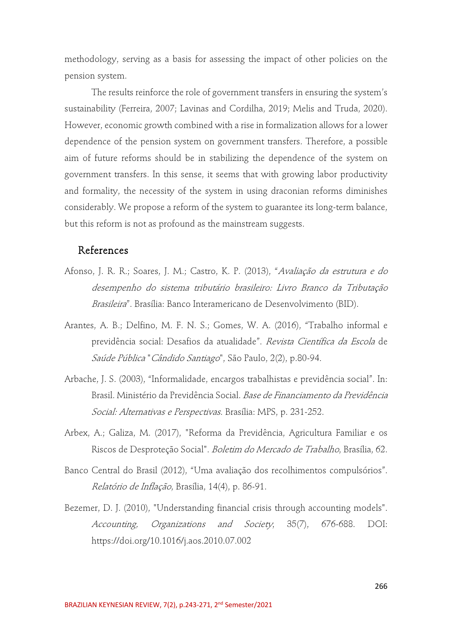methodology, serving as a basis for assessing the impact of other policies on the pension system.

The results reinforce the role of government transfers in ensuring the system's sustainability (Ferreira, 2007; Lavinas and Cordilha, 2019; Melis and Truda, 2020). However, economic growth combined with a rise in formalization allows for a lower dependence of the pension system on government transfers. Therefore, a possible aim of future reforms should be in stabilizing the dependence of the system on government transfers. In this sense, it seems that with growing labor productivity and formality, the necessity of the system in using draconian reforms diminishes considerably. We propose a reform of the system to guarantee its long-term balance, but this reform is not as profound as the mainstream suggests.

## References

- Afonso, J. R. R.; Soares, J. M.; Castro, K. P. (2013), "Avaliação da estrutura e do desempenho do sistema tributário brasileiro: Livro Branco da Tributação Brasileira". Brasília: Banco Interamericano de Desenvolvimento (BID).
- Arantes, A. B.; Delfino, M. F. N. S.; Gomes, W. A. (2016), "Trabalho informal e previdência social: Desafios da atualidade". Revista Científica da Escola de Saúde Pública "Cândido Santiago", São Paulo, 2(2), p.80-94.
- Arbache, J. S. (2003), "Informalidade, encargos trabalhistas e previdência social". In: Brasil. Ministério da Previdência Social. Base de Financiamento da Previdência Social: Alternativas e Perspectivas. Brasília: MPS, p. 231-252.
- Arbex, A.; Galiza, M. (2017), "Reforma da Previdência, Agricultura Familiar e os Riscos de Desproteção Social". Boletim do Mercado de Trabalho, Brasília, 62.
- Banco Central do Brasil (2012), "Uma avaliação dos recolhimentos compulsórios". Relatório de Inflação, Brasília, 14(4), p. 86-91.
- Bezemer, D. J. (2010), "Understanding financial crisis through accounting models". Accounting, Organizations and Society, 35(7), 676-688. DOI: https://doi.org/10.1016/j.aos.2010.07.002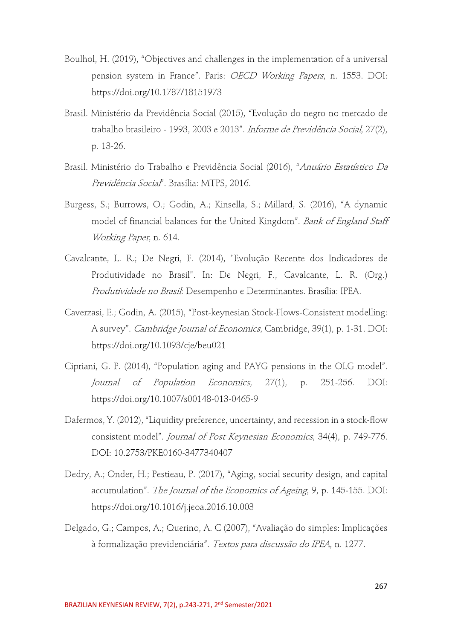- Boulhol, H. (2019), "Objectives and challenges in the implementation of a universal pension system in France". Paris: OECD Working Papers, n. 1553. DOI: https://doi.org/10.1787/18151973
- Brasil. Ministério da Previdência Social (2015), "Evolução do negro no mercado de trabalho brasileiro - 1993, 2003 e 2013". *Informe de Previdência Social*, 27(2), p. 13-26.
- Brasil. Ministério do Trabalho e Previdência Social (2016), "Anuário Estatístico Da Previdência Social". Brasília: MTPS, 2016.
- Burgess, S.; Burrows, O.; Godin, A.; Kinsella, S.; Millard, S. (2016), "A dynamic model of financial balances for the United Kingdom". Bank of England Staff Working Paper, n. 614.
- Cavalcante, L. R.; De Negri, F. (2014), "Evolução Recente dos Indicadores de Produtividade no Brasil". In: De Negri, F., Cavalcante, L. R. (Org.) Produtividade no Brasil: Desempenho e Determinantes. Brasília: IPEA.
- Caverzasi, E.; Godin, A. (2015), "Post-keynesian Stock-Flows-Consistent modelling: A survey". Cambridge Journal of Economics, Cambridge, 39(1), p. 1-31. DOI: https://doi.org/10.1093/cje/beu021
- Cipriani, G. P. (2014), "Population aging and PAYG pensions in the OLG model". Journal of Population Economics, 27(1), p. 251-256. DOI: https://doi.org/10.1007/s00148-013-0465-9
- Dafermos, Y. (2012), "Liquidity preference, uncertainty, and recession in a stock-flow consistent model". Journal of Post Keynesian Economics, 34(4), p. 749-776. DOI: 10.2753/PKE0160-3477340407
- Dedry, A.; Onder, H.; Pestieau, P. (2017), "Aging, social security design, and capital accumulation". The Journal of the Economics of Ageing, 9, p. 145-155. DOI: https://doi.org/10.1016/j.jeoa.2016.10.003
- Delgado, G.; Campos, A.; Querino, A. C (2007), "Avaliação do simples: Implicações à formalização previdenciária". Textos para discussão do IPEA, n. 1277.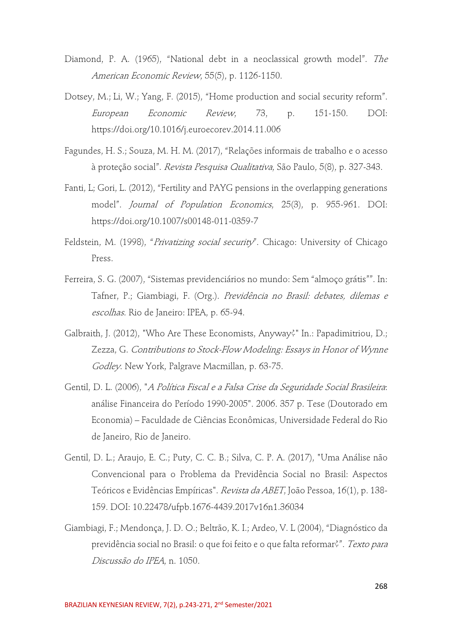- Diamond, P. A. (1965), "National debt in a neoclassical growth model". The American Economic Review, 55(5), p. 1126-1150.
- Dotsey, M.; Li, W.; Yang, F. (2015), "Home production and social security reform". European Economic Review, 73, p. 151-150. DOI: https://doi.org/10.1016/j.euroecorev.2014.11.006
- Fagundes, H. S.; Souza, M. H. M. (2017), "Relações informais de trabalho e o acesso à proteção social". Revista Pesquisa Qualitativa, São Paulo, 5(8), p. 327-343.
- Fanti, L; Gori, L. (2012), "Fertility and PAYG pensions in the overlapping generations model". Journal of Population Economics, 25(3), p. 955-961. DOI: https://doi.org/10.1007/s00148-011-0359-7
- Feldstein, M. (1998), "Privatizing social security". Chicago: University of Chicago Press.
- Ferreira, S. G. (2007), "Sistemas previdenciários no mundo: Sem "almoço grátis"". In: Tafner, P.; Giambiagi, F. (Org.). Previdência no Brasil: debates, dilemas e escolhas. Rio de Janeiro: IPEA, p. 65-94.
- Galbraith, J. (2012), "Who Are These Economists, Anyway?" In.: Papadimitriou, D.; Zezza, G. Contributions to Stock-Flow Modeling: Essays in Honor of Wynne Godley. New York, Palgrave Macmillan, p. 63-75.
- Gentil, D. L. (2006), "A Política Fiscal e a Falsa Crise da Seguridade Social Brasileira: análise Financeira do Período 1990-2005". 2006. 357 p. Tese (Doutorado em Economia) – Faculdade de Ciências Econômicas, Universidade Federal do Rio de Janeiro, Rio de Janeiro.
- Gentil, D. L.; Araujo, E. C.; Puty, C. C. B.; Silva, C. P. A. (2017), "Uma Análise não Convencional para o Problema da Previdência Social no Brasil: Aspectos Teóricos e Evidências Empíricas". Revista da ABET, João Pessoa, 16(1), p. 138- 159. DOI: 10.22478/ufpb.1676-4439.2017v16n1.36034
- Giambiagi, F.; Mendonça, J. D. O.; Beltrão, K. I.; Ardeo, V. L (2004), "Diagnóstico da previdência social no Brasil: o que foi feito e o que falta reformar?". Texto para Discussão do IPEA, n. 1050.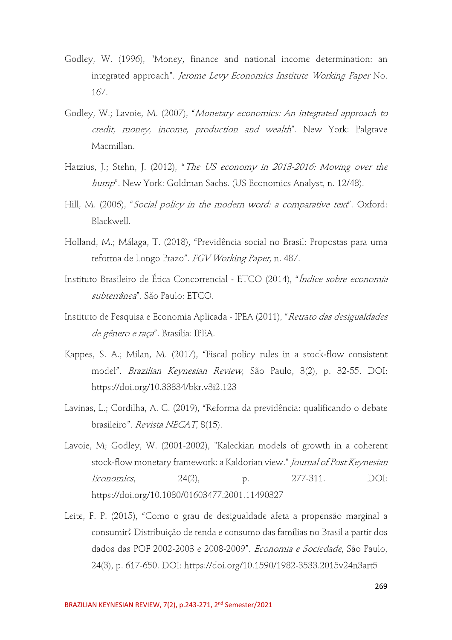- Godley, W. (1996), "Money, finance and national income determination: an integrated approach". Jerome Levy Economics Institute Working Paper No. 167.
- Godley, W.; Lavoie, M. (2007), "Monetary economics: An integrated approach to credit, money, income, production and wealth". New York: Palgrave Macmillan.
- Hatzius, J.; Stehn, J. (2012), "The US economy in 2013-2016: Moving over the hump". New York: Goldman Sachs. (US Economics Analyst, n. 12/48).
- Hill, M. (2006), "Social policy in the modern word: a comparative text". Oxford: Blackwell.
- Holland, M.; Málaga, T. (2018), "Previdência social no Brasil: Propostas para uma reforma de Longo Prazo". FGV Working Paper, n. 487.
- Instituto Brasileiro de Ética Concorrencial ETCO (2014), "Índice sobre economia subterrânea". São Paulo: ETCO.
- Instituto de Pesquisa e Economia Aplicada IPEA (2011), "Retrato das desigualdades de gênero e raça". Brasília: IPEA.
- Kappes, S. A.; Milan, M. (2017), "Fiscal policy rules in a stock-flow consistent model". Brazilian Keynesian Review, São Paulo, 3(2), p. 32-55. DOI: https://doi.org/10.33834/bkr.v3i2.123
- Lavinas, L.; Cordilha, A. C. (2019), "Reforma da previdência: qualificando o debate brasileiro". Revista NECAT, 8(15).
- Lavoie, M; Godley, W. (2001-2002), "Kaleckian models of growth in a coherent stock-flow monetary framework: a Kaldorian view." Journal of Post Keynesian Economics, 24(2), p. 277-311. DOI: https://doi.org/10.1080/01603477.2001.11490327
- Leite, F. P. (2015), "Como o grau de desigualdade afeta a propensão marginal a consumir? Distribuição de renda e consumo das famílias no Brasil a partir dos dados das POF 2002-2003 e 2008-2009". Economia e Sociedade, São Paulo, 24(3), p. 617-650. DOI: https://doi.org/10.1590/1982-3533.2015v24n3art5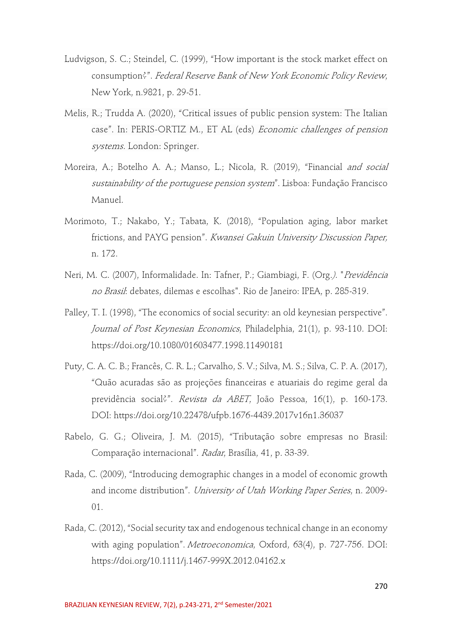- Ludvigson, S. C.; Steindel, C. (1999), "How important is the stock market effect on consumption?". Federal Reserve Bank of New York Economic Policy Review, New York, n.9821, p. 29-51.
- Melis, R.; Trudda A. (2020), "Critical issues of public pension system: The Italian case". In: PERIS-ORTIZ M., ET AL (eds) Economic challenges of pension systems. London: Springer.
- Moreira, A.; Botelho A. A.; Manso, L.; Nicola, R. (2019), "Financial *and social* sustainability of the portuguese pension system". Lisboa: Fundação Francisco Manuel.
- Morimoto, T.; Nakabo, Y.; Tabata, K. (2018), "Population aging, labor market frictions, and PAYG pension". Kwansei Gakuin University Discussion Paper, n. 172.
- Neri, M. C. (2007), Informalidade. In: Tafner, P.; Giambiagi, F. (Org.). "Previdência no Brasil: debates, dilemas e escolhas". Rio de Janeiro: IPEA, p. 285-319.
- Palley, T. I. (1998), "The economics of social security: an old keynesian perspective". Journal of Post Keynesian Economics, Philadelphia, 21(1), p. 93-110. DOI: https://doi.org/10.1080/01603477.1998.11490181
- Puty, C. A. C. B.; Francês, C. R. L.; Carvalho, S. V.; Silva, M. S.; Silva, C. P. A. (2017), "Quão acuradas são as projeções financeiras e atuariais do regime geral da previdência social?". Revista da ABET, João Pessoa, 16(1), p. 160-173. DOI: https://doi.org/10.22478/ufpb.1676-4439.2017v16n1.36037
- Rabelo, G. G.; Oliveira, J. M. (2015), "Tributação sobre empresas no Brasil: Comparação internacional". Radar, Brasília, 41, p. 33-39.
- Rada, C. (2009), "Introducing demographic changes in a model of economic growth and income distribution". University of Utah Working Paper Series, n. 2009- 01.
- Rada, C. (2012), "Social security tax and endogenous technical change in an economy with aging population". Metroeconomica, Oxford, 63(4), p. 727-756. DOI: https://doi.org/10.1111/j.1467-999X.2012.04162.x